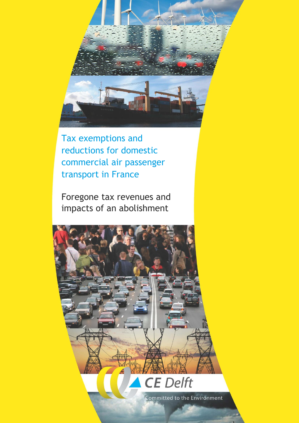

Tax exemptions and reductions for domestic commercial air passenger transport in France

Foregone tax revenues and impacts of an abolishment

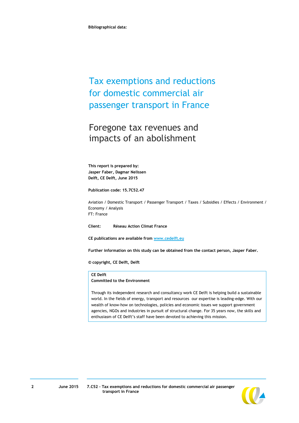## Tax exemptions and reductions for domestic commercial air passenger transport in France

## Foregone tax revenues and impacts of an abolishment

**This report is prepared by: Jasper Faber, Dagmar Nelissen Delft, CE Delft, June 2015**

**Publication code: 15.7C52.47**

Aviation / Domestic Transport / Passenger Transport / Taxes / Subsidies / Effects / Environment / Economy / Analysis FT: France

**Client: Réseau Action Climat France**

**CE publications are available from [www.cedelft.eu](http://www.cedelft.eu/)**

**Further information on this study can be obtained from the contact person, Jasper Faber.**

**© copyright, CE Delft, Delft**

**CE Delft**

**Committed to the Environment**

Through its independent research and consultancy work CE Delft is helping build a sustainable world. In the fields of energy, transport and resources our expertise is leading-edge. With our wealth of know-how on technologies, policies and economic issues we support government agencies, NGOs and industries in pursuit of structural change. For 35 years now, the skills and enthusiasm of CE Delft's staff have been devoted to achieving this mission.

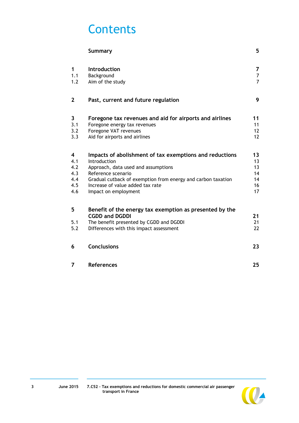## **Contents**

|                                             | <b>Summary</b>                                                                                                                                                                                                                                                   | 5                                      |
|---------------------------------------------|------------------------------------------------------------------------------------------------------------------------------------------------------------------------------------------------------------------------------------------------------------------|----------------------------------------|
| 1<br>1.1<br>1.2                             | Introduction<br>Background<br>Aim of the study                                                                                                                                                                                                                   | $\overline{7}$<br>7<br>7               |
| $\mathbf{2}$                                | Past, current and future regulation                                                                                                                                                                                                                              | 9                                      |
| 3<br>3.1<br>3.2<br>3.3                      | Foregone tax revenues and aid for airports and airlines<br>Foregone energy tax revenues<br>Foregone VAT revenues<br>Aid for airports and airlines                                                                                                                | 11<br>11<br>12<br>12                   |
| 4<br>4.1<br>4.2<br>4.3<br>4.4<br>4.5<br>4.6 | Impacts of abolishment of tax exemptions and reductions<br>Introduction<br>Approach, data used and assumptions<br>Reference scenario<br>Gradual cutback of exemption from energy and carbon taxation<br>Increase of value added tax rate<br>Impact on employment | 13<br>13<br>13<br>14<br>14<br>16<br>17 |
| 5<br>5.1<br>5.2                             | Benefit of the energy tax exemption as presented by the<br><b>CGDD and DGDDI</b><br>The benefit presented by CGDD and DGDDI<br>Differences with this impact assessment                                                                                           | 21<br>21<br>22                         |
| 6                                           | <b>Conclusions</b>                                                                                                                                                                                                                                               | 23                                     |
| 7                                           | <b>References</b>                                                                                                                                                                                                                                                | 25                                     |

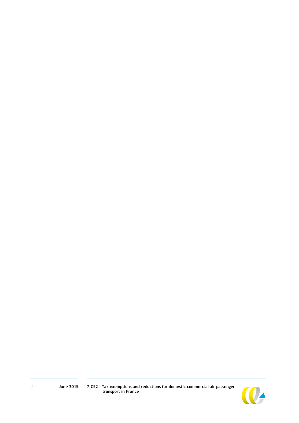

 $\overline{\mathbf{4}}$ 

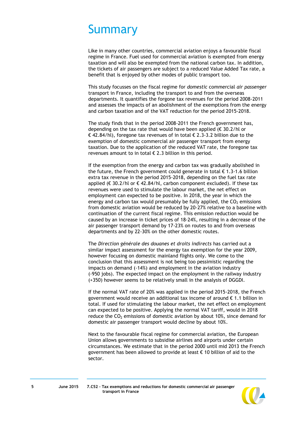## Summary

Like in many other countries, commercial aviation enjoys a favourable fiscal regime in France. Fuel used for commercial aviation is exempted from energy taxation and will also be exempted from the national carbon tax. In addition, the tickets of air passengers are subject to a reduced Value Added Tax rate, a benefit that is enjoyed by other modes of public transport too.

This study focusses on the fiscal regime for *domestic* commercial *air passenger* transport in France, including the transport to and from the overseas departments. It quantifies the forgone tax revenues for the period 2008-2011 and assesses the impacts of an abolishment of the exemptions from the energy and carbon taxation and of the VAT reduction for the period 2015-2018.

The study finds that in the period 2008-2011 the French government has, depending on the tax rate that would have been applied ( $\epsilon$  30.2/hl or € 42.84/hl), foregone tax revenues of in total € 2.3-3.2 billion due to the exemption of domestic commercial air passenger transport from energy taxation. Due to the application of the reduced VAT rate, the foregone tax revenues amount to in total  $\epsilon$  2.3 billion in this period.

If the exemption from the energy and carbon tax was gradually abolished in the future, the French government could generate in total  $\epsilon$  1.3-1.6 billion extra tax revenue in the period 2015-2018, depending on the fuel tax rate applied ( $\epsilon$  30.2/hl or  $\epsilon$  42.84/hl, carbon component excluded). If these tax revenues were used to stimulate the labour market, the net effect on employment can expected to be positive. In 2018, the year in which the energy and carbon tax would presumably be fully applied, the  $CO<sub>2</sub>$  emissions from domestic aviation would be reduced by 20-27% relative to a baseline with continuation of the current fiscal regime. This emission reduction would be caused by an increase in ticket prices of 18-24%, resulting in a decrease of the air passenger transport demand by 17-23% on routes to and from overseas departments and by 22-30% on the other domestic routes.

The *Direction générale des douanes et droits indirects* has carried out a similar impact assessment for the energy tax exemption for the year 2009, however focusing on domestic mainland flights only. We come to the conclusion that this assessment is not being too pessimistic regarding the impacts on demand (-14%) and employment in the aviation industry (-950 jobs). The expected impact on the employment in the railway industry (+350) however seems to be relatively small in the analysis of DGGDI.

If the normal VAT rate of 20% was applied in the period 2015-2018, the French government would receive an additional tax income of around  $\epsilon$  1.1 billion in total. If used for stimulating the labour market, the net effect on employment can expected to be positive. Applying the normal VAT tariff, would in 2018 reduce the  $CO<sub>2</sub>$  emissions of domestic aviation by about 10%, since demand for domestic air passenger transport would decline by about 10%.

Next to the favourable fiscal regime for commercial aviation, the European Union allows governments to subsidise airlines and airports under certain circumstances. We estimate that in the period 2000 until mid 2013 the French government has been allowed to provide at least € 10 billion of aid to the sector.

**5 June 2015 7.C52 – Tax exemptions and reductions for domestic commercial air passenger transport in France**

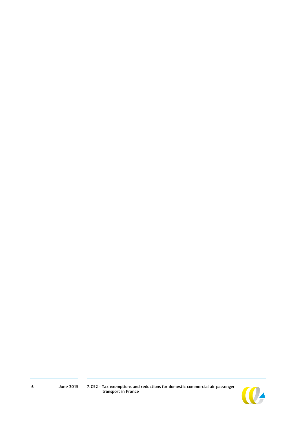

 $\ddot{\mathbf{6}}$ 

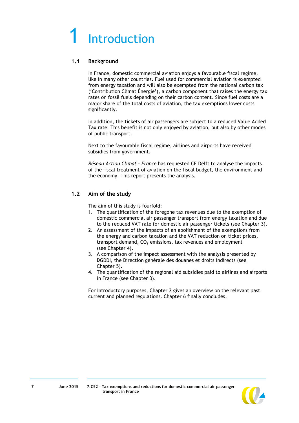# **Introduction**

## **1.1 Background**

In France, domestic commercial aviation enjoys a favourable fiscal regime, like in many other countries. Fuel used for commercial aviation is exempted from energy taxation and will also be exempted from the national carbon tax ('Contribution Climat Énergie'), a carbon component that raises the energy tax rates on fossil fuels depending on their carbon content. Since fuel costs are a major share of the total costs of aviation, the tax exemptions lower costs significantly.

In addition, the tickets of air passengers are subject to a reduced Value Added Tax rate. This benefit is not only enjoyed by aviation, but also by other modes of public transport.

Next to the favourable fiscal regime, airlines and airports have received subsidies from government.

*Réseau Action Climat – France* has requested CE Delft to analyse the impacts of the fiscal treatment of aviation on the fiscal budget, the environment and the economy. This report presents the analysis.

## **1.2 Aim of the study**

The aim of this study is fourfold:

- 1. The quantification of the foregone tax revenues due to the exemption of domestic commercial air passenger transport from energy taxation and due to the reduced VAT rate for domestic air passenger tickets (see Chapter 3).
- 2. An assessment of the impacts of an abolishment of the exemptions from the energy and carbon taxation and the VAT reduction on ticket prices, transport demand,  $CO<sub>2</sub>$  emissions, tax revenues and employment (see Chapter 4).
- 3. A comparison of the impact assessment with the analysis presented by DGDDI, the Direction générale des douanes et droits indirects (see Chapter 5).
- 4. The quantification of the regional aid subsidies paid to airlines and airports in France (see Chapter 3).

For introductory purposes, Chapter [2](#page-8-0) gives an overview on the relevant past, current and planned regulations. Chapter 6 finally concludes.

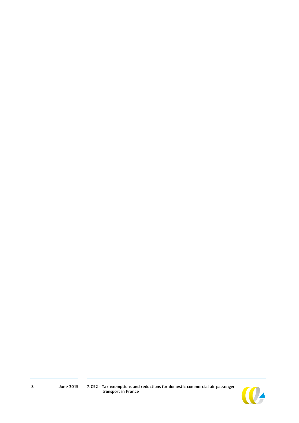

8

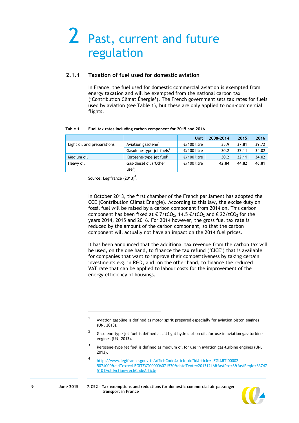## <span id="page-8-0"></span>2 Past, current and future regulation

## **2.1.1 Taxation of fuel used for domestic aviation**

In France, the fuel used for domestic commercial aviation is exempted from energy taxation and will be exempted from the national carbon tax ('Contribution Climat Énergie'). The French government sets tax rates for fuels used by aviation (see [Table 1\)](#page-8-1), but these are only applied to non-commercial flights.

|                            |                                      | Unit        | 2008-2014 | 2015  | 2016  |
|----------------------------|--------------------------------------|-------------|-----------|-------|-------|
| Light oil and preparations | Aviation gasolene <sup>1</sup>       | €/100 litre | 35.9      | 37.81 | 39.72 |
|                            | Gasolene-type jet fuels <sup>2</sup> | €/100 litre | 30.2      | 32.11 | 34.02 |
| Medium oil                 | Kerosene-type jet fuel <sup>3</sup>  | €/100 litre | 30.2      | 32.11 | 34.02 |
| Heavy oil                  | Gas-diesel oil ('Other<br>use'       | €/100 litre | 42.84     | 44.82 | 46.81 |

#### <span id="page-8-1"></span>**Table 1 Fuel tax rates including carbon component for 2015 and 2016**

Source: Legifrance  $(2013)^4$ .

In October 2013, the first chamber of the French parliament has adopted the CCE (Contribution Climat Énergie). According to this law, the excise duty on fossil fuel will be raised by a carbon component from 2014 on. This carbon component has been fixed at  $\epsilon$  7/tCO<sub>2</sub>, 14.5  $\epsilon$ /tCO<sub>2</sub> and  $\epsilon$  22/tCO<sub>2</sub> for the years 2014, 2015 and 2016. For 2014 however, the gross fuel tax rate is reduced by the amount of the carbon component, so that the carbon component will actually not have an impact on the 2014 fuel prices.

It has been announced that the additional tax revenue from the carbon tax will be used, on the one hand, to finance the tax refund ('CICE') that is available for companies that want to improve their competitiveness by taking certain investments e.g. in R&D, and, on the other hand, to finance the reduced VAT rate that can be applied to labour costs for the improvement of the energy efficiency of housings.

 $\overline{a}$ 

**<sup>9</sup> June 2015 7.C52 – Tax exemptions and reductions for domestic commercial air passenger transport in France**



<sup>1</sup> Aviation gasoline is defined as motor spirit prepared especially for aviation piston engines (UN, 2013).

<sup>2</sup> Gasolene-type jet fuel is defined as all light hydrocarbon oils for use in aviation gas-turbine engines (UN, 2013).

<sup>3</sup> Kerosene-type jet fuel is defined as medium oil for use in aviation gas-turbine engines (UN, 2013).

<sup>4</sup> [http://www.legifrance.gouv.fr/affichCodeArticle.do?idArticle=LEGIARTI00002](http://www.legifrance.gouv.fr/affichCodeArticle.do?idArticle=LEGIARTI000025074000&cidTexte=LEGITEXT000006071570&dateTexte=20131216&fastPos=6&fastReqId=637475101&oldAction=rechCodeArticle) [5074000&cidTexte=LEGITEXT000006071570&dateTexte=20131216&fastPos=6&fastReqId=63747](http://www.legifrance.gouv.fr/affichCodeArticle.do?idArticle=LEGIARTI000025074000&cidTexte=LEGITEXT000006071570&dateTexte=20131216&fastPos=6&fastReqId=637475101&oldAction=rechCodeArticle) [5101&oldAction=rechCodeArticle](http://www.legifrance.gouv.fr/affichCodeArticle.do?idArticle=LEGIARTI000025074000&cidTexte=LEGITEXT000006071570&dateTexte=20131216&fastPos=6&fastReqId=637475101&oldAction=rechCodeArticle)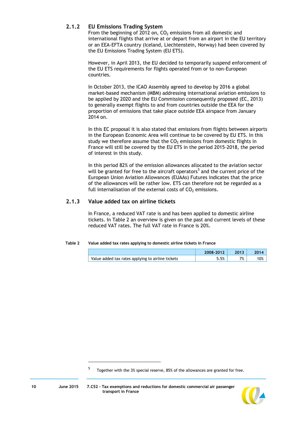## **2.1.2 EU Emissions Trading System**

From the beginning of 2012 on,  $CO<sub>2</sub>$  emissions from all domestic and international flights that arrive at or depart from an airport in the EU territory or an EEA-EFTA country (Iceland, Liechtenstein, Norway) had been covered by the EU Emissions Trading System (EU ETS).

However, in April 2013, the EU decided to temporarily suspend enforcement of the EU ETS requirements for flights operated from or to non-European countries.

In October 2013, the ICAO Assembly agreed to develop by 2016 a global market-based mechanism (MBM) addressing international aviation emissions to be applied by 2020 and the EU Commission consequently proposed (EC, 2013) to generally exempt flights to and from countries outside the EEA for the proportion of emissions that take place outside EEA airspace from January 2014 on.

In this EC proposal it is also stated that emissions from flights between airports in the European Economic Area will continue to be covered by EU ETS. In this study we therefore assume that the  $CO<sub>2</sub>$  emissions from domestic flights in France will still be covered by the EU ETS in the period 2015-2018, the period of interest in this study.

In this period 82% of the emission allowances allocated to the aviation sector will be granted for free to the aircraft operators<sup>5</sup> and the current price of the European Union Aviation Allowances (EUAAs) Futures indicates that the price of the allowances will be rather low. ETS can therefore not be regarded as a full internalisation of the external costs of  $CO<sub>2</sub>$  emissions.

## **2.1.3 Value added tax on airline tickets**

In France, a reduced VAT rate is and has been applied to domestic airline tickets. In [Table 2](#page-9-0) an overview is given on the past and current levels of these reduced VAT rates. The full VAT rate in France is 20%.

#### <span id="page-9-0"></span>**Table 2 Value added tax rates applying to domestic airline tickets in France**

|                                                   | 2008-2012 |    |     |
|---------------------------------------------------|-----------|----|-----|
| Value added tax rates applying to airline tickets | 5.5%      | 7% | 10% |

<sup>5</sup> Together with the 3% special reserve, 85% of the allowances are granted for free.



-

**10 June 2015 7.C52 – Tax exemptions and reductions for domestic commercial air passenger transport in France**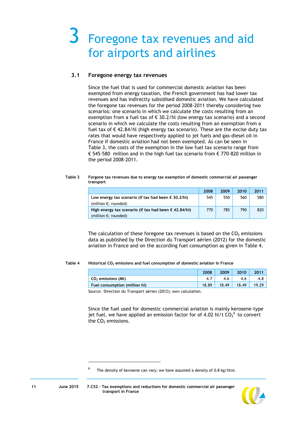## 3 Foregone tax revenues and aid for airports and airlines

### **3.1 Foregone energy tax revenues**

Since the fuel that is used for commercial domestic aviation has been exempted from energy taxation, the French government has had lower tax revenues and has indirectly subsidised domestic aviation. We have calculated the foregone tax revenues for the period 2008-2011 thereby considering two scenarios: one scenario in which we calculate the costs resulting from an exemption from a fuel tax of € 30.2/hl (low energy tax scenario) and a second scenario in which we calculate the costs resulting from an exemption from a fuel tax of  $\epsilon$  42.84/hl (high energy tax scenario). These are the excise duty tax rates that would have respectively applied to jet fuels and gas-diesel oil in France if domestic aviation had not been exempted. As can be seen in [Table 3,](#page-10-0) the costs of the exemption in the low fuel tax scenario range from € 545-580 million and in the high fuel tax scenario from € 770-820 million in the period 2008-2011.

#### <span id="page-10-0"></span>**Table 3 Forgone tax revenues due to energy tax exemption of domestic commercial air passenger transport**

|                                                                | 2008 | 2009 | 2010 | 2011  |
|----------------------------------------------------------------|------|------|------|-------|
| Low energy tax scenario (if tax had been $\epsilon$ 30.2/hl)   | 545  | 550  | 560  | 580 l |
| (million $\epsilon$ ; rounded)                                 |      |      |      |       |
| High energy tax scenario (if tax had been $\epsilon$ 42.84/hl) | 770  | 785  | 790  | 820   |
| (million $\epsilon$ ; rounded)                                 |      |      |      |       |

The calculation of these foregone tax revenues is based on the  $CO<sub>2</sub>$  emissions data as published by the Direction du Transport aérien (2012) for the domestic aviation in France and on the according fuel consumption as given in [Table 4.](#page-10-1)

#### <span id="page-10-1"></span>**Table 4 Historical CO<sup>2</sup> emissions and fuel consumption of domestic aviation in France**

|                               | 2008  | 2009  | 2010  | 2011  |
|-------------------------------|-------|-------|-------|-------|
| $CO2$ emissions (Mt)          |       | 4.6   | 4.6   | 4.8   |
| Fuel consumption (million hl) | 18.89 | 18.49 | 18.49 | 19.29 |

Source: Direction du Transport aérien (2012); own calculation.

Since the fuel used for domestic commercial aviation is mainly kerosene-type jet fuel, we have applied an emission factor for of 4.02 hl/t  $CO_2^6$  to convert the  $CO<sub>2</sub>$  emissions.

-

**11 June 2015 7.C52 – Tax exemptions and reductions for domestic commercial air passenger transport in France**

<sup>6</sup> The density of kerosene can vary; we have assumed a density of 0.8 kg/litre.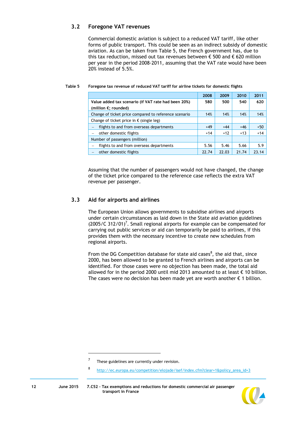## **3.2 Foregone VAT revenues**

Commercial domestic aviation is subject to a reduced VAT tariff, like other forms of public transport. This could be seen as an indirect subsidy of domestic aviation. As can be taken from [Table 5,](#page-11-0) the French government has, due to this tax reduction, missed out tax revenues between  $\epsilon$  500 and  $\epsilon$  620 million per year in the period 2008-2011, assuming that the VAT rate would have been 20% instead of 5.5%.

|                                                                             | 2008  | 2009  | 2010  | 2011  |
|-----------------------------------------------------------------------------|-------|-------|-------|-------|
| Value added tax scenario (if VAT rate had been 20%)<br>(million €; rounded) | 580   | 500   | 540   | 620   |
| Change of ticket price compared to reference scenario                       | 14%   | 14%   | 14%   | 14%   |
| Change of ticket price in $\epsilon$ (single leg)                           |       |       |       |       |
| flights to and from overseas departments                                    | $+49$ | $+44$ | $+46$ | $+50$ |
| other domestic flights                                                      | $+14$ | $+12$ | $+13$ | $+14$ |
| Number of passengers (million)                                              |       |       |       |       |
| flights to and from overseas departments                                    | 5.56  | 5.46  | 5.66  | 5.9   |
| other domestic flights                                                      | 22.74 | 22.03 | 21.74 | 23.14 |

#### <span id="page-11-0"></span>**Table 5 Foregone tax revenue of reduced VAT tariff for airline tickets for domestic flights**

Assuming that the number of passengers would not have changed, the change of the ticket price compared to the reference case reflects the extra VAT revenue per passenger.

## **3.3 Aid for airports and airlines**

The European Union allows governments to subsidise airlines and airports under certain circumstances as laid down in the State aid aviation guidelines  $(2005/C 312/01)^7$ . Small regional airports for example can be compensated for carrying out public services or aid can temporarily be paid to airlines, if this provides them with the necessary incentive to create new schedules from regional airports.

From the DG Competition database for state aid cases $\delta$ , the aid that, since 2000, has been allowed to be granted to French airlines and airports can be identified. For those cases were no objection has been made, the total aid allowed for in the period 2000 until mid 2013 amounted to at least  $\epsilon$  10 billion. The cases were no decision has been made yet are worth another  $\epsilon$  1 billion.

-

**<sup>12</sup> June 2015 7.C52 – Tax exemptions and reductions for domestic commercial air passenger transport in France**



<sup>7</sup> These guidelines are currently under revision.

<sup>8</sup> [http://ec.europa.eu/competition/elojade/isef/index.cfm?clear=1&policy\\_area\\_id=3](http://ec.europa.eu/competition/elojade/isef/index.cfm?clear=1&policy_area_id=3)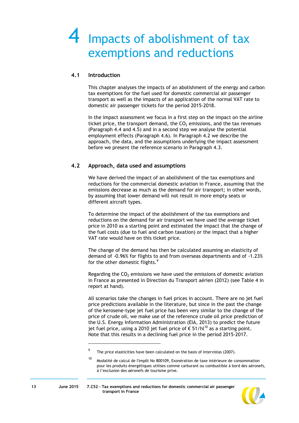## 4 Impacts of abolishment of tax exemptions and reductions

### **4.1 Introduction**

This chapter analyses the impacts of an abolishment of the energy and carbon tax exemptions for the fuel used for domestic commercial air passenger transport as well as the impacts of an application of the normal VAT rate to domestic air passenger tickets for the period 2015-2018.

In the impact assessment we focus in a first step on the impact on the airline ticket price, the transport demand, the  $CO<sub>2</sub>$  emissions, and the tax revenues (Paragraph [4.4](#page-13-0) and [4.5\)](#page-15-0) and in a second step we analyse the potential employment effects (Paragraph [4.6\)](#page-16-0). In Paragraph [4.2](#page-12-0) we describe the approach, the data, and the assumptions underlying the impact assessment before we present the reference scenario in Paragraph [4.3.](#page-13-1)

## <span id="page-12-0"></span>**4.2 Approach, data used and assumptions**

We have derived the impact of an abolishment of the tax exemptions and reductions for the commercial domestic aviation in France, assuming that the emissions decrease as much as the demand for air transport; in other words, by assuming that lower demand will not result in more empty seats or different aircraft types.

To determine the impact of the abolishment of the tax exemptions and reductions on the demand for air transport we have used the average ticket price in 2010 as a starting point and estimated the impact that the change of the fuel costs (due to fuel and carbon taxation) or the impact that a higher VAT rate would have on this ticket price.

The change of the demand has then be calculated assuming an elasticity of demand of -0.96% for flights to and from overseas departments and of -1.23% for the other domestic flights.<sup>9</sup>

Regarding the  $CO<sub>2</sub>$  emissions we have used the emissions of domestic aviation in France as presented in Direction du Transport aérien (2012) (see [Table 4](#page-10-1) in report at hand).

All scenarios take the changes in fuel prices in account. There are no jet fuel price predictions available in the literature, but since in the past the change of the kerosene-type jet fuel price has been very similar to the change of the price of crude oil, we make use of the reference crude oil price prediction of the U.S. Energy Information Administration (EIA, 2013) to predict the future jet fuel price, using a 2010 jet fuel price of €  $51/hl^{10}$  as a starting point. Note that this results in a declining fuel price in the period 2015-2017.

<sup>10</sup> Modalité de calcul de l'impôt No 800109, Exonération de taxe intérieure de consommation pour les produits énergétiques utilises comme carburant ou combustible á bord des aéronefs, á l'exclusion des aéronefs de tourisme prive.



 $\overline{a}$ 

**13 June 2015 7.C52 – Tax exemptions and reductions for domestic commercial air passenger transport in France**

<sup>9</sup> The price elasticities have been calculated on the basis of Intervistas (2007).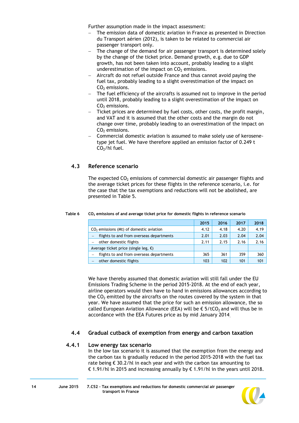Further assumption made in the impact assessment:

- The emission data of domestic aviation in France as presented in Direction du Transport aérien (2012), is taken to be related to commercial air passenger transport only.
- The change of the demand for air passenger transport is determined solely by the change of the ticket price. Demand growth, e.g. due to GDP growth, has not been taken into account, probably leading to a slight underestimation of the impact on  $CO<sub>2</sub>$  emissions.
- Aircraft do not refuel outside France and thus cannot avoid paying the fuel tax, probably leading to a slight overestimation of the impact on  $CO<sub>2</sub>$  emissions.
- The fuel efficiency of the aircrafts is assumed not to improve in the period until 2018, probably leading to a slight overestimation of the impact on  $CO<sub>2</sub>$  emissions.
- Ticket prices are determined by fuel costs, other costs, the profit margin, and VAT and it is assumed that the other costs and the margin do not change over time, probably leading to an overestimation of the impact on  $CO<sub>2</sub>$  emissions.
- Commercial domestic aviation is assumed to make solely use of kerosenetype jet fuel. We have therefore applied an emission factor of 0.249 t  $CO<sub>2</sub>/h1$  fuel.

## <span id="page-13-1"></span>**4.3 Reference scenario**

The expected  $CO<sub>2</sub>$  emissions of commercial domestic air passenger flights and the average ticket prices for these flights in the reference scenario, i.e. for the case that the tax exemptions and reductions will not be abolished, are presented in [Table 5.](#page-11-0)

|                                           | 2015 | 2016 | 2017 | 2018 |
|-------------------------------------------|------|------|------|------|
| $CO2$ emissions (Mt) of domestic aviation | 4.12 | 4.18 | 4.20 | 4.19 |
| flights to and from overseas departments  | 2.01 | 2.03 | 2.04 | 2.04 |
| other domestic flights                    | 2.11 | 2.15 | 2.16 | 2.16 |
| Average ticket price (single leg, €)      |      |      |      |      |
| flights to and from overseas departments  | 365  | 361  | 359  | 360  |
| other domestic flights                    | 103  | 102  | 101  | 101  |

#### **Table 6 CO<sup>2</sup> emissions of and average ticket price for domestic flights in reference scenario**

We have thereby assumed that domestic aviation will still fall under the EU Emissions Trading Scheme in the period 2015-2018. At the end of each year, airline operators would then have to hand in emissions allowances according to the  $CO<sub>2</sub>$  emitted by the aircrafts on the routes covered by the system in that year. We have assumed that the price for such an emission allowance, the so called European Aviation Allowance (EEA) will be  $\epsilon$  5/tCO<sub>2</sub> and will thus be in accordance with the EEA Futures price as by mid January 2014.

## <span id="page-13-0"></span>**4.4 Gradual cutback of exemption from energy and carbon taxation**

## **4.4.1 Low energy tax scenario**

In the low tax scenario it is assumed that the exemption from the energy and the carbon tax is gradually reduced in the period 2015-2018 with the fuel tax rate being  $\epsilon$  30.2/hl in each year and with the carbon tax amounting to € 1.91/hl in 2015 and increasing annually by € 1.91/hl in the years until 2018.

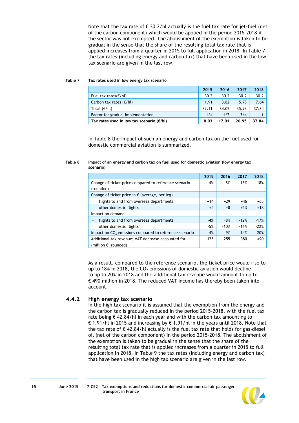Note that the tax rate of  $\epsilon$  30.2/hl actually is the fuel tax rate for jet-fuel (net of the carbon component) which would be applied in the period 2015-2018 if the sector was not exempted. The abolishment of the exemption is taken to be gradual in the sense that the share of the resulting total tax rate that is applied increases from a quarter in 2015 to full application in 2018. In [Table 7](#page-14-0) the tax rates (including energy and carbon tax) that have been used in the low tax scenario are given in the last row.

#### <span id="page-14-0"></span>**Table 7 Tax rates used in low energy tax scenario**

|                                                   | 2015  | 2016  | 2017  | 2018  |
|---------------------------------------------------|-------|-------|-------|-------|
| Fuel tax rates $(E/hl)$                           | 30.2  | 30.2  | 30.2  | 30.2  |
| Carbon tax rates $(E/hl)$                         | 1.91  | 3.82  | 5.73  | 7.64  |
| Total $(E/hl)$                                    | 32.11 | 34.02 | 35.93 | 37.84 |
| Factor for gradual implementation                 | 1/4   | 1/2   | 3/4   |       |
| Tax rates used in low tax scenario $(\epsilon/h)$ | 8.03  | 17.01 | 26.95 | 37.84 |

In [Table 8](#page-14-1) the impact of such an energy and carbon tax on the fuel used for domestic commercial aviation is summarized.

#### <span id="page-14-1"></span>**Table 8 Impact of an energy and carbon tax on fuel used for domestic aviation (low energy tax scenario)**

|                                                          | 2015  | 2016   | 2017   | 2018   |
|----------------------------------------------------------|-------|--------|--------|--------|
| Change of ticket price compared to reference scenario    | 4%    | 8%     | 13%    | 18%    |
| (rounded)                                                |       |        |        |        |
| Change of ticket price in $\epsilon$ (average, per leg)  |       |        |        |        |
| flights to and from overseas departments                 | $+14$ | $+29$  | $+46$  | $+65$  |
| other domestic flights                                   | $+4$  | $+8$   | $+13$  | $+18$  |
| Impact on demand                                         |       |        |        |        |
| flights to and from overseas departments                 | $-4%$ | $-8%$  | $-12%$ | $-17%$ |
| other domestic flights                                   | $-5%$ | $-10%$ | $-16%$ | $-22%$ |
| Impact on $CO2$ emissions compared to reference scenario | $-4%$ | $-9%$  | $-14%$ | $-20%$ |
| Additional tax revenue; VAT decrease accounted for       | 125   | 255    | 380    | 490    |
| (million $\epsilon$ ; rounded)                           |       |        |        |        |

As a result, compared to the reference scenario, the ticket price would rise to up to 18% in 2018, the  $CO<sub>2</sub>$  emissions of domestic aviation would decline to up to 20% in 2018 and the additional tax revenue would amount to up to € 490 million in 2018. The reduced VAT income has thereby been taken into account.

### **4.4.2 High energy tax scenario**

In the high tax scenario it is assumed that the exemption from the energy and the carbon tax is gradually reduced in the period 2015-2018, with the fuel tax rate being € 42.84/hl in each year and with the carbon tax amounting to € 1.91/hl in 2015 and increasing by € 1.91/hl in the years until 2018. Note that the tax rate of  $\epsilon$  42.84/hl actually is the fuel tax rate that holds for gas-diesel oil (net of the carbon component) in the period 2015-2018. The abolishment of the exemption is taken to be gradual in the sense that the share of the resulting total tax rate that is applied increases from a quarter in 2015 to full application in 2018. In [Table 9](#page-15-1) the tax rates (including energy and carbon tax) that have been used in the high tax scenario are given in the last row.

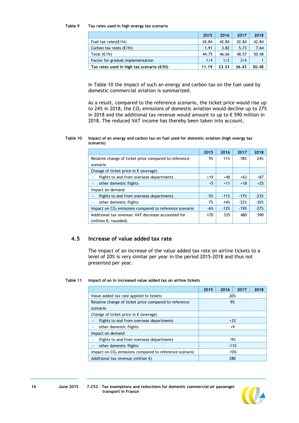#### <span id="page-15-1"></span>**Table 9 Tax rates used in high energy tax scenario**

|                                              | 2015  | 2016  | 2017  | 2018  |
|----------------------------------------------|-------|-------|-------|-------|
| Fuel tax rates $(E/hl)$                      | 42.84 | 42.84 | 42.84 | 42.84 |
| Carbon tax rates $(E/hl)$                    | 1.91  | 3.82  | 5.73  | 7.64  |
| Total $(\epsilon/hl)$                        | 44.75 | 46.66 | 48.57 | 50.48 |
| Factor for gradual implementation            | 1/4   | 1/2   | 3/4   |       |
| Tax rates used in high tax scenario $(E/hl)$ | 11.19 | 23.33 | 36.43 | 50.48 |

In [Table 10](#page-15-2) the impact of such an energy and carbon tax on the fuel used by domestic commercial aviation is summarized.

As a result, compared to the reference scenario, the ticket price would rise up to 24% in 2018, the  $CO<sub>2</sub>$  emissions of domestic aviation would decline up to 27% in 2018 and the additional tax revenue would amount to up to € 590 million in 2018. The reduced VAT income has thereby been taken into account.

#### <span id="page-15-2"></span>**Table 10 Impact of an energy and carbon tax on fuel used for domestic aviation (high energy tax scenario)**

|                                                          | 2015  | 2016   | 2017   | 2018   |
|----------------------------------------------------------|-------|--------|--------|--------|
| Relative change of ticket price compared to reference    | 5%    | 11%    | 18%    | 24%    |
| scenario                                                 |       |        |        |        |
| Change of ticket price in $\epsilon$ (average)           |       |        |        |        |
| flights to and from overseas departments                 | $+19$ | $+40$  | $+63$  | $+87$  |
| other domestic flights                                   | $+5$  | $+11$  | $+18$  | $+25$  |
| Impact on demand                                         |       |        |        |        |
| flights to and from overseas departments                 | $-5%$ | $-11%$ | $-17%$ | $-23%$ |
| other domestic flights                                   | $-7%$ | $-14%$ | $-22%$ | $-30%$ |
| Impact on $CO2$ emissions compared to reference scenario | $-6%$ | $-12%$ | $-19%$ | $-27%$ |
| Additional tax revenue; VAT decrease accounted for       | 170   | 335    | 480    | 590    |
| (million $\epsilon$ ; rounded)                           |       |        |        |        |

## <span id="page-15-0"></span>**4.5 Increase of value added tax rate**

The impact of an increase of the value added tax rate on airline tickets to a level of 20% is very similar per year in the period 2015-2018 and thus not presented per year.

#### <span id="page-15-3"></span>**Table 11 Impact of an in increased value added tax on airline tickets**

|                                                          | 2015   | 2016 | 2017  | 2018 |  |
|----------------------------------------------------------|--------|------|-------|------|--|
| Value added tax rate applied to tickets                  | 20%    |      |       |      |  |
| Relative change of ticket price compared to reference    |        | 9%   |       |      |  |
| scenario                                                 |        |      |       |      |  |
| Change of ticket price in $\epsilon$ (average)           |        |      |       |      |  |
| flights to and from overseas departments                 | $+33$  |      |       |      |  |
| other domestic flights                                   |        | $+9$ |       |      |  |
| Impact on demand                                         |        |      |       |      |  |
| flights to and from overseas departments                 |        |      | $-9%$ |      |  |
| other domestic flights                                   | $-11%$ |      |       |      |  |
| Impact on $CO2$ emissions compared to reference scenario | $-10%$ |      |       |      |  |
| Additional tax revenue (million $\epsilon$ )             |        | 280  |       |      |  |

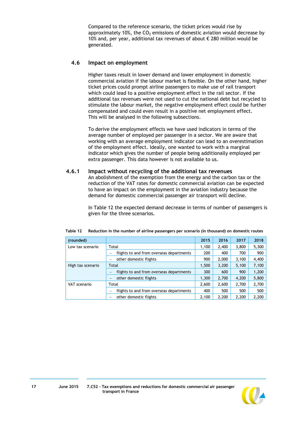Compared to the reference scenario, the ticket prices would rise by approximately 10%, the  $CO<sub>2</sub>$  emissions of domestic aviation would decrease by 10% and, per year, additional tax revenues of about € 280 million would be generated.

## <span id="page-16-0"></span>**4.6 Impact on employment**

Higher taxes result in lower demand and lower employment in domestic commercial aviation if the labour market is flexible. On the other hand, higher ticket prices could prompt airline passengers to make use of rail transport which could lead to a positive employment effect in the rail sector. If the additional tax revenues were not used to cut the national debt but recycled to stimulate the labour market, the negative employment effect could be further compensated and could even result in a positive net employment effect. This will be analysed in the following subsections.

To derive the employment effects we have used indicators in terms of the average number of employed per passenger in a sector. We are aware that working with an average employment indicator can lead to an overestimation of the employment effect. Ideally, one wanted to work with a marginal indicator which gives the number of people being additionally employed per extra passenger. This data however is not available to us.

### **4.6.1 Impact without recycling of the additional tax revenues**

An abolishment of the exemption from the energy and the carbon tax or the reduction of the VAT rates for domestic commercial aviation can be expected to have an impact on the employment in the aviation industry because the demand for domestic commercial passenger air transport will decline.

In [Table 12](#page-16-1) the expected demand decrease in terms of number of passengers is given for the three scenarios.

| (rounded)         |                                          | 2015  | 2016  | 2017  | 2018  |
|-------------------|------------------------------------------|-------|-------|-------|-------|
| Low tax scenario  | Total                                    | 1,100 | 2,400 | 3,800 | 5,300 |
|                   | flights to and from overseas departments | 200   | 400   | 700   | 900   |
|                   | other domestic flights                   | 900   | 2,000 | 3,100 | 4,400 |
| High tax scenario | Total                                    | 1,500 | 3,200 | 5,100 | 7,100 |
|                   | flights to and from overseas departments | 300   | 600   | 900   | 1,200 |
|                   | other domestic flights                   | 1,300 | 2,700 | 4,200 | 5,800 |
| VAT scenario      | Total                                    | 2,600 | 2,600 | 2,700 | 2,700 |
|                   | flights to and from overseas departments | 400   | 500   | 500   | 500   |
|                   | other domestic flights                   | 2.100 | 2,200 | 2.200 | 2,200 |

<span id="page-16-1"></span>**Table 12 Reduction in the number of airline passengers per scenario (in thousand) on domestic routes**

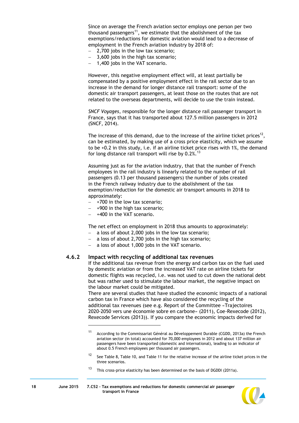Since on average the French aviation sector employs one person per two thousand passengers<sup>11</sup>, we estimate that the abolishment of the tax exemptions/reductions for domestic aviation would lead to a decrease of employment in the French aviation industry by 2018 of:

- 2,700 jobs in the low tax scenario;
- 3,600 jobs in the high tax scenario;
- $-$  1,400 jobs in the VAT scenario.

However, this negative employment effect will, at least partially be compensated by a positive employment effect in the rail sector due to an increase in the demand for longer distance rail transport: some of the domestic air transport passengers, at least those on the routes that are not related to the overseas departments, will decide to use the train instead.

*SNCF Voyages*, responsible for the longer distance rail passenger transport in France, says that it has transported about 127.5 million passengers in 2012 (SNCF, 2014).

The increase of this demand, due to the increase of the airline ticket prices<sup>12</sup>, can be estimated, by making use of a cross price elasticity, which we assume to be +0.2 in this study, i.e. if an airline ticket price rises with 1%, the demand for long distance rail transport will rise by  $0.2\%$ .<sup>13</sup>

Assuming just as for the aviation industry, that that the number of French employees in the rail industry is linearly related to the number of rail passengers (0.13 per thousand passengers) the number of jobs created in the French railway industry due to the abolishment of the tax exemption/reduction for the domestic air transport amounts in 2018 to approximately:

- +700 in the low tax scenario;
- +900 in the high tax scenario;
- +400 in the VAT scenario.

The net effect on employment in 2018 thus amounts to approximately:

- $-$  a loss of about 2,000 jobs in the low tax scenario;
- $-$  a loss of about 2,700 jobs in the high tax scenario;
- $-$  a loss of about 1,000 jobs in the VAT scenario.

#### **4.6.2 Impact with recycling of additional tax revenues**

If the additional tax revenue from the energy and carbon tax on the fuel used by domestic aviation or from the increased VAT rate on airline tickets for domestic flights was recycled, i.e. was not used to cut down the national debt but was rather used to stimulate the labour market, the negative impact on the labour market could be mitigated.

There are several studies that have studied the economic impacts of a national carbon tax in France which have also considered the recycling of the additional tax revenues (see e.g. Report of the Committee «Trajectoires 2020-2050 vers une économie sobre en carbone» (2011), Coe-Rexecode (2012), Rexecode Services (2013)). If you compare the economic impacts derived for

 $\overline{a}$ 



<sup>11</sup> According to the Commissariat Général au Développement Durable (CGDD, 2013a) the French aviation sector (in total) accounted for 70,000 employees in 2012 and about 137 million air passengers have been transported (domestic and international), leading to an indicator of about 0.5 French employees per thousand air passengers.

<sup>&</sup>lt;sup>12</sup> Se[e Table 8,](#page-14-1) [Table 10,](#page-15-2) an[d Table 11](#page-15-3) for the relative increase of the airline ticket prices in the three scenarios.

<sup>&</sup>lt;sup>13</sup> This cross-price elasticity has been determined on the basis of DGDDI (2011a).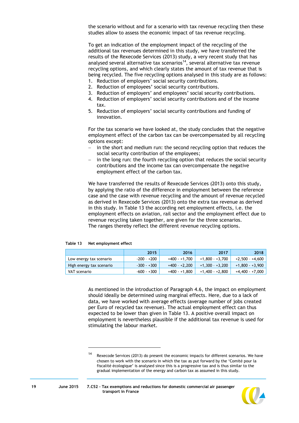the scenario without and for a scenario with tax revenue recycling then these studies allow to assess the economic impact of tax revenue recycling.

To get an indication of the employment impact of the recycling of the additional tax revenues determined in this study, we have transferred the results of the Rexecode Services (2013) study, a very recent study that has analysed several alternative tax scenarios<sup>14</sup>, several alternative tax revenue recycling options, and which clearly states the amount of tax revenue that is being recycled. The five recycling options analysed in this study are as follows:

- 1. Reduction of employers' social security contributions.
- 2. Reduction of employees' social security contributions.
- 3. Reduction of employers' and employees' social security contributions.
- 4. Reduction of employers' social security contributions and of the income tax.
- 5. Reduction of employers' social security contributions and funding of innovation.

For the tax scenario we have looked at, the study concludes that the negative employment effect of the carbon tax can be overcompensated by all recycling options except:

- $-$  in the short and medium run: the second recycling option that reduces the social security contribution of the employees;
- $-$  in the long run: the fourth recycling option that reduces the social security contributions and the income tax can overcompensate the negative employment effect of the carbon tax.

We have transferred the results of Rexecode Services (2013) onto this study, by applying the ratio of the difference in employment between the reference case and the case with revenue recycling and the amount of revenue recycled as derived in Rexecode Services (2013) onto the extra tax revenue as derived in this study. In [Table 13](#page-18-0) the according net employment effects, i.e. the employment effects on aviation, rail sector and the employment effect due to revenue recycling taken together, are given for the three scenarios. The ranges thereby reflect the different revenue recycling options.

<span id="page-18-0"></span>

| Table 13 | Net employment effect |  |
|----------|-----------------------|--|
|----------|-----------------------|--|

-

|                          | 2015          | 2016            | 2017              | 2018              |
|--------------------------|---------------|-----------------|-------------------|-------------------|
| Low energy tax scenario  | $-200 - +200$ | +400 - +1.700   | $+1.800 - +3.700$ | $+2.500 - +4.600$ |
| High energy tax scenario | $-300 - +300$ | $+400 - +2.200$ | $+1.300 - +3.200$ | +1,800 - +3,900   |
| VAT scenario             | $-600 - +300$ | +400 - +1,800   | $+1.400 - +2.800$ | $+4.400 - +7.000$ |

As mentioned in the introduction of Paragraph [4.6,](#page-16-0) the impact on employment should ideally be determined using marginal effects. Here, due to a lack of data, we have worked with average effects (average number of jobs created per Euro of recycled tax revenue). The actual employment effect can thus expected to be lower than given in [Table 13.](#page-18-0) A positive overall impact on employment is nevertheless plausible if the additional tax revenue is used for stimulating the labour market.

<sup>14</sup> Rexecode Services (2013) do present the economic impacts for different scenarios. We have chosen to work with the scenario in which the tax as put forward by the 'Comité pour la fiscalité écologique' is analysed since this is a progressive tax and is thus similar to the gradual implementation of the energy and carbon tax as assumed in this study.



**19 June 2015 7.C52 – Tax exemptions and reductions for domestic commercial air passenger transport in France**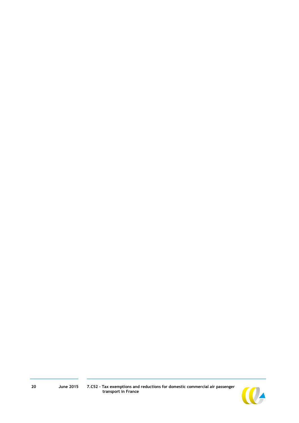

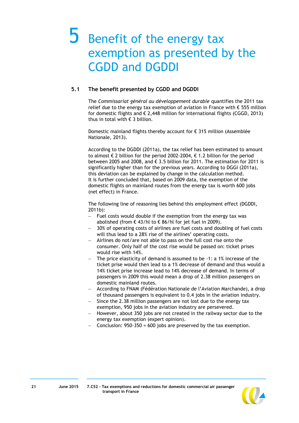## $5$  Benefit of the energy tax exemption as presented by the CGDD and DGDDI

## **5.1 The benefit presented by CGDD and DGDDI**

The *Commissariat général au développement durable* quantifies the 2011 tax relief due to the energy tax exemption of aviation in France with  $\epsilon$  555 million for domestic flights and  $\epsilon$  2,448 million for international flights (CGGD, 2013) thus in total with  $\epsilon$  3 billion.

Domestic mainland flights thereby account for € 315 million (Assemblée Nationale, 2013).

According to the DGDDI (2011a), the tax relief has been estimated to amount to almost € 2 billion for the period 2002-2004, € 1.2 billion for the period between 2005 and 2008, and € 3.5 billion for 2011. The estimation for 2011 is significantly higher than for the previous years. According to DGGI (2011a), this deviation can be explained by change in the calculation method. It is further concluded that, based on 2009 data, the exemption of the domestic flights on mainland routes from the energy tax is worth 600 jobs (net effect) in France.

The following line of reasoning lies behind this employment effect (DGDDI, 2011b):

- Fuel costs would double if the exemption from the energy tax was abolished (from € 43/hl to € 86/hl for jet fuel in 2009).
- 30% of operating costs of airlines are fuel costs and doubling of fuel costs will thus lead to a 28% rise of the airlines' operating costs.
- $-$  Airlines do not/are not able to pass on the full cost rise onto the consumer. Only half of the cost rise would be passed on: ticket prises would rise with 14%.
- The price elasticity of demand is assumed to be -1: a 1% increase of the ticket prise would then lead to a 1% decrease of demand and thus would a 14% ticket prise increase lead to 14% decrease of demand. In terms of passengers in 2009 this would mean a drop of 2.38 million passengers on domestic mainland routes.
- According to FNAM (Fédération Nationale de l'Aviation Marchande), a drop of thousand passengers is equivalent to 0.4 jobs in the aviation industry.
- $-$  Since the 2.38 million passengers are not lost due to the energy tax exemption, 950 jobs in the aviation industry are persevered.
- $-$  However, about 350 jobs are not created in the railway sector due to the energy tax exemption (expert opinion).
- $-$  Conclusion: 950-350 = 600 jobs are preserved by the tax exemption.

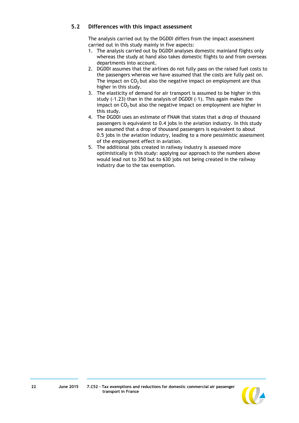## **5.2 Differences with this impact assessment**

The analysis carried out by the DGDDI differs from the impact assessment carried out in this study mainly in five aspects:

- 1. The analysis carried out by DGDDI analyses domestic mainland flights only whereas the study at hand also takes domestic flights to and from overseas departments into account.
- 2. DGDDI assumes that the airlines do not fully pass on the raised fuel costs to the passengers whereas we have assumed that the costs are fully past on. The impact on  $CO<sub>2</sub>$  but also the negative impact on employment are thus higher in this study.
- 3. The elasticity of demand for air transport is assumed to be higher in this study (-1.23) than in the analysis of DGDDI (-1). This again makes the impact on  $CO<sub>2</sub>$  but also the negative impact on employment are higher in this study.
- 4. The DGDDI uses an estimate of FNAM that states that a drop of thousand passengers is equivalent to 0.4 jobs in the aviation industry. In this study we assumed that a drop of thousand passengers is equivalent to about 0.5 jobs in the aviation industry, leading to a more pessimistic assessment of the employment effect in aviation.
- 5. The additional jobs created in railway industry is assessed more optimistically in this study: applying our approach to the numbers above would lead not to 350 but to 630 jobs not being created in the railway industry due to the tax exemption.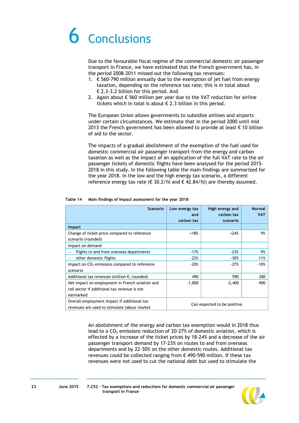# **6** Conclusions

Due to the favourable fiscal regime of the commercial domestic air passenger transport in France, we have estimated that the French government has, in the period 2008-2011 missed out the following tax revenues:

- 1.  $€ 560-790$  million annually due to the exemption of jet fuel from energy taxation, depending on the reference tax rate; this is in total about € 2.3-3.2 billion for this period. And
- 2. Again about  $\epsilon$  560 million per year due to the VAT reduction for airline tickets which in total is about € 2.3 billion in this period.

The European Union allows governments to subsidise airlines and airports under certain circumstances. We estimate that in the period 2000 until mid 2013 the French government has been allowed to provide at least  $\epsilon$  10 billion of aid to the sector.

The impacts of a gradual abolishment of the exemption of the fuel used for domestic commercial air passenger transport from the energy and carbon taxation as well as the impact of an application of the full VAT rate to the air passenger tickets of domestic flights have been analysed for the period 2015- 2018 in this study. In the following table the main findings are summarized for the year 2018. In the low and the high energy tax scenario, a different reference energy tax rate ( $\epsilon$  30.2/hl and  $\epsilon$  42.84/hl) are thereby assumed.

| <b>Scenario</b>                                        | Low energy tax<br>and        | High energy and<br>carbon tax | <b>Normal</b><br><b>VAT</b> |
|--------------------------------------------------------|------------------------------|-------------------------------|-----------------------------|
|                                                        | carbon tax                   | scenario                      |                             |
| <b>Impact</b>                                          |                              |                               |                             |
| Change of ticket price compared to reference           | $+18%$                       | $+24%$                        | 9%                          |
| scenario (rounded)                                     |                              |                               |                             |
| Impact on demand                                       |                              |                               |                             |
| flights to and from overseas departments               | $-17%$                       | $-23%$                        | $-9%$                       |
| other domestic flights                                 | $-22%$                       | $-30%$                        | $-11%$                      |
| Impact on $CO2$ emissions compared to reference        | $-20%$                       | $-27%$                        | $-10%$                      |
| scenario                                               |                              |                               |                             |
| Additional tax revenues (million $\epsilon$ ; rounded) | 490                          | 590                           | 280                         |
| Net impact on employment in French aviation and        | $-1,800$                     | $-2,400$                      | $-900$                      |
| rail sector if additional tax revenue is not           |                              |                               |                             |
| earmarked                                              |                              |                               |                             |
| Overall employment impact if additional tax            |                              |                               |                             |
| revenues are used to stimulate labour market           | Can expected to be positive. |                               |                             |

#### **Table 14 Main findings of impact assessment for the year 2018**

An abolishment of the energy and carbon tax exemption would in 2018 thus lead to a  $CO<sub>2</sub>$  emissions reduction of 20-27% of domestic aviation, which is effected by a increase of the ticket prices by 18-24% and a decrease of the air passenger transport demand by 17-23% on routes to and from overseas departments and by 22-30% on the other domestic routes. Additional tax revenues could be collected ranging from  $\epsilon$  490-590 million. If these tax revenues were not used to cut the national debt but used to stimulate the

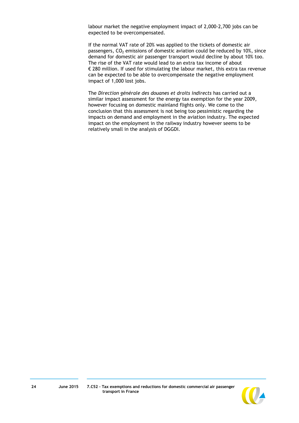labour market the negative employment impact of 2,000-2,700 jobs can be expected to be overcompensated.

If the normal VAT rate of 20% was applied to the tickets of domestic air passengers,  $CO<sub>2</sub>$  emissions of domestic aviation could be reduced by 10%, since demand for domestic air passenger transport would decline by about 10% too. The rise of the VAT rate would lead to an extra tax income of about € 280 million. If used for stimulating the labour market, this extra tax revenue can be expected to be able to overcompensate the negative employment impact of 1,000 lost jobs.

The *Direction générale des douanes et droits indirects* has carried out a similar impact assessment for the energy tax exemption for the year 2009, however focusing on domestic mainland flights only. We come to the conclusion that this assessment is not being too pessimistic regarding the impacts on demand and employment in the aviation industry. The expected impact on the employment in the railway industry however seems to be relatively small in the analysis of DGGDI.

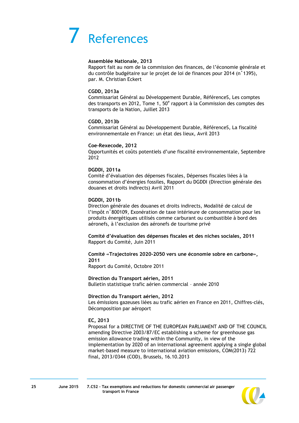# 7 References

### **Assemblée Nationale, 2013**

Rapport fait au nom de la commission des finances, de l'économie générale et du contrôle budgétaire sur le projet de loi de finances pour 2014 (n˚1395), par. M. Christian Eckert

#### **CGDD, 2013a**

Commissariat Général au Développement Durable, RéférenceS, Les comptes des transports en 2012, Tome 1,  $50^{\circ}$  rapport à la Commission des comptes des transports de la Nation, Juillet 2013

#### **CGDD, 2013b**

Commissariat Général au Développement Durable, RéférenceS, La fiscalité environnementale en France: un état des lieux, Avril 2013

#### **Coe-Rexecode, 2012**

Opportunités et coûts potentiels d'une fiscalité environnementale, Septembre 2012

#### **DGDDI, 2011a**

Comité d'évaluation des dépenses fiscales, Dépenses fiscales liées à la consommation d'énergies fossiles, Rapport du DGDDI (Direction générale des douanes et droits indirects) Avril 2011

#### **DGDDI, 2011b**

Direction générale des douanes et droits indirects, Modalité de calcul de l'impôt n˚800109, Exonération de taxe intérieure de consommation pour les produits énergétiques utilisés comme carburant ou combustible à bord des aéronefs, à l'exclusion des aéronefs de tourisme privé

**Comité d'évaluation des dépenses fiscales et des niches sociales, 2011** Rapport du Comité, Juin 2011

## **Comité «Trajectoires 2020-2050 vers une économie sobre en carbone», 2011**

Rapport du Comité, Octobre 2011

**Direction du Transport aérien, 2011** Bulletin statistique trafic aérien commercial – année 2010

### **Direction du Transport aérien, 2012**

Les émissions gazeuses liées au trafic aérien en France en 2011, Chiffres-clés, Décomposition par aéroport

### **EC, 2013**

Proposal for a DIRECTIVE OF THE EUROPEAN PARLIAMENT AND OF THE COUNCIL amending Directive 2003/87/EC establishing a scheme for greenhouse gas emission allowance trading within the Community, in view of the implementation by 2020 of an international agreement applying a single global market-based measure to international aviation emissions, COM(2013) 722 final, 2013/0344 (COD), Brussels, 16.10.2013